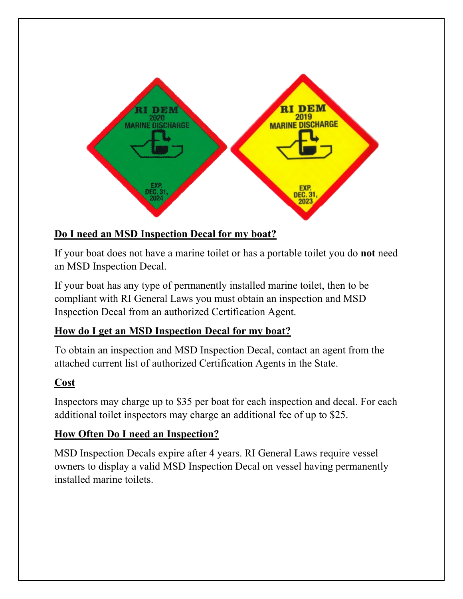

# **Do I need an MSD Inspection Decal for my boat?**

If your boat does not have a marine toilet or has a portable toilet you do **not** need an MSD Inspection Decal.

If your boat has any type of permanently installed marine toilet, then to be compliant with RI General Laws you must obtain an inspection and MSD Inspection Decal from an authorized Certification Agent.

# **How do I get an MSD Inspection Decal for my boat?**

To obtain an inspection and MSD Inspection Decal, contact an agent from the attached current list of authorized Certification Agents in the State.

# **Cost**

Inspectors may charge up to \$35 per boat for each inspection and decal. For each additional toilet inspectors may charge an additional fee of up to \$25.

# **How Often Do I need an Inspection?**

MSD Inspection Decals expire after 4 years. RI General Laws require vessel owners to display a valid MSD Inspection Decal on vessel having permanently installed marine toilets.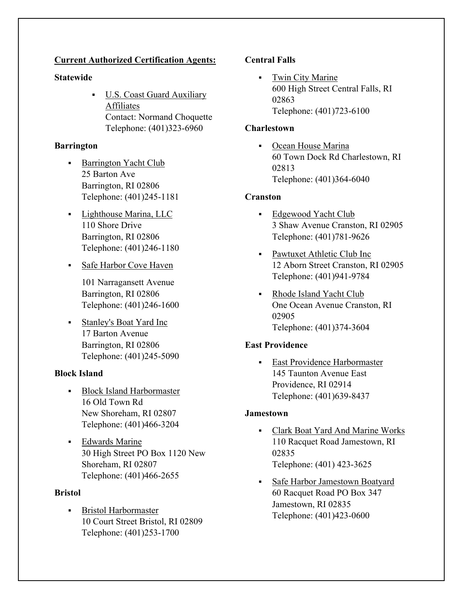## **Current Authorized Certification Agents:**

## **Statewide**

 U.S. Coast Guard Auxiliary Affiliates Contact: Normand Choquette Telephone: (401)323-6960

# **Barrington**

- Barrington Yacht Club 25 Barton Ave Barrington, RI 02806 Telephone: (401)245-1181
- Lighthouse Marina, LLC 110 Shore Drive Barrington, RI 02806 Telephone: (401)246-1180
- Safe Harbor Cove Haven

101 Narragansett Avenue Barrington, RI 02806 Telephone: (401)246-1600

 Stanley's Boat Yard Inc 17 Barton Avenue Barrington, RI 02806 Telephone: (401)245-5090

# **Block Island**

- **Block Island Harbormaster** 16 Old Town Rd New Shoreham, RI 02807 Telephone: (401)466-3204
- Edwards Marine 30 High Street PO Box 1120 New Shoreham, RI 02807 Telephone: (401)466-2655

### **Bristol**

**Bristol Harbormaster** 10 Court Street Bristol, RI 02809 Telephone: (401)253-1700

## **Central Falls**

• Twin City Marine 600 High Street Central Falls, RI 02863 Telephone: (401)723-6100

## **Charlestown**

• Ocean House Marina 60 Town Dock Rd Charlestown, RI 02813 Telephone: (401)364-6040

## **Cranston**

- Edgewood Yacht Club 3 Shaw Avenue Cranston, RI 02905 Telephone: (401)781-9626
- Pawtuxet Athletic Club Inc 12 Aborn Street Cranston, RI 02905 Telephone: (401)941-9784
- Rhode Island Yacht Club One Ocean Avenue Cranston, RI 02905 Telephone: (401)374-3604

# **East Providence**

**East Providence Harbormaster** 145 Taunton Avenue East Providence, RI 02914 Telephone: (401)639-8437

### **Jamestown**

- Clark Boat Yard And Marine Works 110 Racquet Road Jamestown, RI 02835 Telephone: (401) 423-3625
- Safe Harbor Jamestown Boatyard 60 Racquet Road PO Box 347 Jamestown, RI 02835 Telephone: (401)423-0600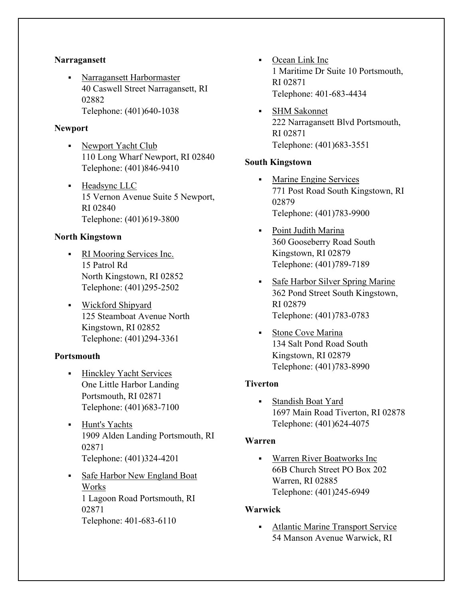#### **Narragansett**

 Narragansett Harbormaster 40 Caswell Street Narragansett, RI 02882 Telephone: (401)640-1038

#### **Newport**

- Newport Yacht Club 110 Long Wharf Newport, RI 02840 Telephone: (401)846-9410
- **Headsync LLC** 15 Vernon Avenue Suite 5 Newport, RI 02840 Telephone: (401)619-3800

### **North Kingstown**

- RI Mooring Services Inc. 15 Patrol Rd North Kingstown, RI 02852 Telephone: (401)295-2502
- Wickford Shipyard 125 Steamboat Avenue North Kingstown, RI 02852 Telephone: (401)294-3361

### **Portsmouth**

- **Hinckley Yacht Services** One Little Harbor Landing Portsmouth, RI 02871 Telephone: (401)683-7100
- Hunt's Yachts 1909 Alden Landing Portsmouth, RI 02871 Telephone: (401)324-4201
- Safe Harbor New England Boat Works 1 Lagoon Road Portsmouth, RI 02871 Telephone: 401-683-6110
- Ocean Link Inc 1 Maritime Dr Suite 10 Portsmouth, RI 02871 Telephone: 401-683-4434
- SHM Sakonnet 222 Narragansett Blvd Portsmouth, RI 02871 Telephone: (401)683-3551

#### **South Kingstown**

- Marine Engine Services 771 Post Road South Kingstown, RI 02879 Telephone: (401)783-9900
- Point Judith Marina 360 Gooseberry Road South Kingstown, RI 02879 Telephone: (401)789-7189
- Safe Harbor Silver Spring Marine 362 Pond Street South Kingstown, RI 02879 Telephone: (401)783-0783
- Stone Cove Marina 134 Salt Pond Road South Kingstown, RI 02879 Telephone: (401)783-8990

### **Tiverton**

 Standish Boat Yard 1697 Main Road Tiverton, RI 02878 Telephone: (401)624-4075

#### **Warren**

 Warren River Boatworks Inc 66B Church Street PO Box 202 Warren, RI 02885 Telephone: (401)245-6949

### **Warwick**

• Atlantic Marine Transport Service 54 Manson Avenue Warwick, RI